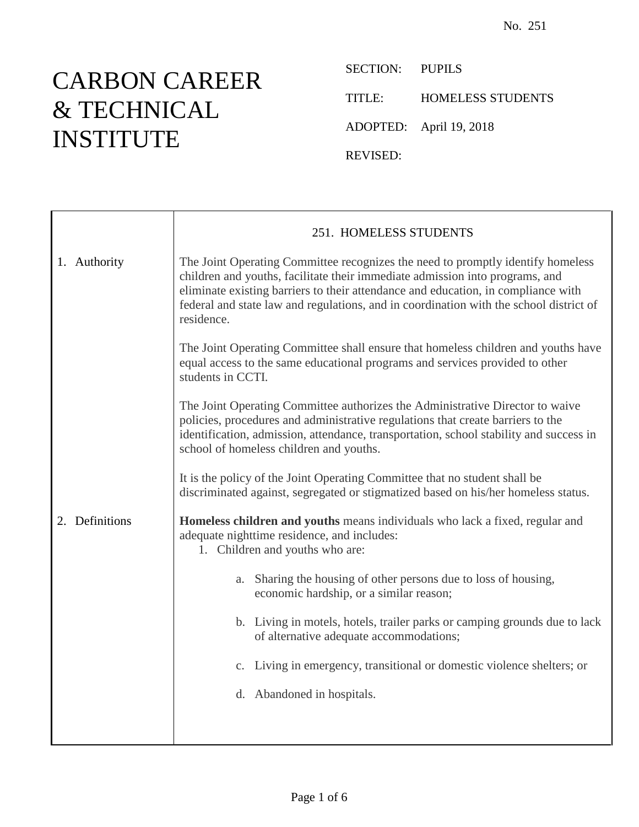## CARBON CAREER & TECHNICAL INSTITUTE

SECTION: PUPILS TITLE: HOMELESS STUDENTS ADOPTED: April 19, 2018 REVISED:

|                | 251. HOMELESS STUDENTS                                                                                                                                                                                                                                                                                                                                       |
|----------------|--------------------------------------------------------------------------------------------------------------------------------------------------------------------------------------------------------------------------------------------------------------------------------------------------------------------------------------------------------------|
| 1. Authority   | The Joint Operating Committee recognizes the need to promptly identify homeless<br>children and youths, facilitate their immediate admission into programs, and<br>eliminate existing barriers to their attendance and education, in compliance with<br>federal and state law and regulations, and in coordination with the school district of<br>residence. |
|                | The Joint Operating Committee shall ensure that homeless children and youths have<br>equal access to the same educational programs and services provided to other<br>students in CCTI.                                                                                                                                                                       |
|                | The Joint Operating Committee authorizes the Administrative Director to waive<br>policies, procedures and administrative regulations that create barriers to the<br>identification, admission, attendance, transportation, school stability and success in<br>school of homeless children and youths.                                                        |
|                | It is the policy of the Joint Operating Committee that no student shall be<br>discriminated against, segregated or stigmatized based on his/her homeless status.                                                                                                                                                                                             |
| 2. Definitions | Homeless children and youths means individuals who lack a fixed, regular and<br>adequate nighttime residence, and includes:<br>1. Children and youths who are:                                                                                                                                                                                               |
|                | a. Sharing the housing of other persons due to loss of housing,<br>economic hardship, or a similar reason;                                                                                                                                                                                                                                                   |
|                | b. Living in motels, hotels, trailer parks or camping grounds due to lack<br>of alternative adequate accommodations;                                                                                                                                                                                                                                         |
|                | c. Living in emergency, transitional or domestic violence shelters; or                                                                                                                                                                                                                                                                                       |
|                | d. Abandoned in hospitals.                                                                                                                                                                                                                                                                                                                                   |
|                |                                                                                                                                                                                                                                                                                                                                                              |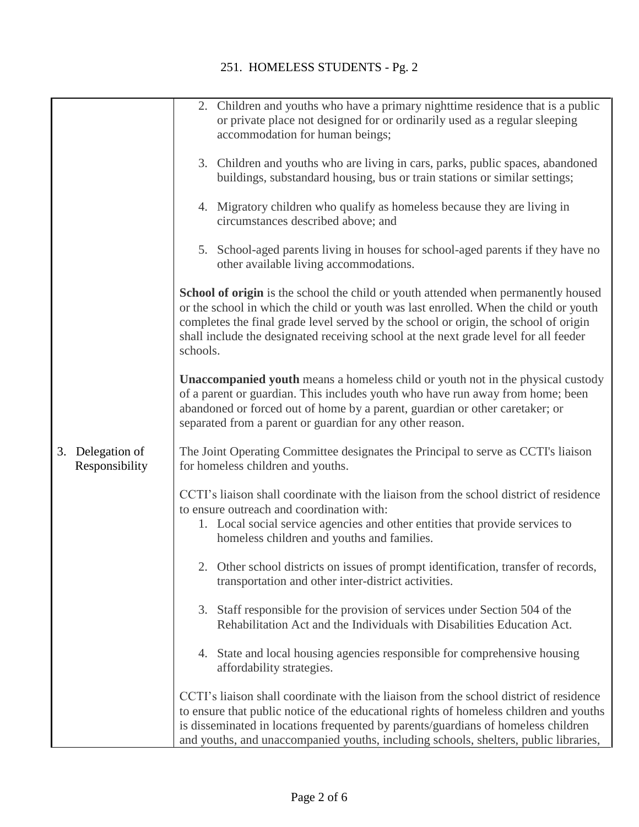|                                       | 2. Children and youths who have a primary nighttime residence that is a public<br>or private place not designed for or ordinarily used as a regular sleeping<br>accommodation for human beings;                                                                                                                                                                        |
|---------------------------------------|------------------------------------------------------------------------------------------------------------------------------------------------------------------------------------------------------------------------------------------------------------------------------------------------------------------------------------------------------------------------|
|                                       | 3. Children and youths who are living in cars, parks, public spaces, abandoned<br>buildings, substandard housing, bus or train stations or similar settings;                                                                                                                                                                                                           |
|                                       | 4. Migratory children who qualify as homeless because they are living in<br>circumstances described above; and                                                                                                                                                                                                                                                         |
|                                       | 5. School-aged parents living in houses for school-aged parents if they have no<br>other available living accommodations.                                                                                                                                                                                                                                              |
|                                       | School of origin is the school the child or youth attended when permanently housed<br>or the school in which the child or youth was last enrolled. When the child or youth<br>completes the final grade level served by the school or origin, the school of origin<br>shall include the designated receiving school at the next grade level for all feeder<br>schools. |
|                                       | Unaccompanied youth means a homeless child or youth not in the physical custody<br>of a parent or guardian. This includes youth who have run away from home; been<br>abandoned or forced out of home by a parent, guardian or other caretaker; or<br>separated from a parent or guardian for any other reason.                                                         |
| Delegation of<br>3.<br>Responsibility | The Joint Operating Committee designates the Principal to serve as CCTI's liaison<br>for homeless children and youths.                                                                                                                                                                                                                                                 |
|                                       | CCTI's liaison shall coordinate with the liaison from the school district of residence<br>to ensure outreach and coordination with:<br>1. Local social service agencies and other entities that provide services to<br>homeless children and youths and families.                                                                                                      |
|                                       | 2. Other school districts on issues of prompt identification, transfer of records,<br>transportation and other inter-district activities.                                                                                                                                                                                                                              |
|                                       | Staff responsible for the provision of services under Section 504 of the<br>3.<br>Rehabilitation Act and the Individuals with Disabilities Education Act.                                                                                                                                                                                                              |
|                                       | 4. State and local housing agencies responsible for comprehensive housing<br>affordability strategies.                                                                                                                                                                                                                                                                 |
|                                       | CCTI's liaison shall coordinate with the liaison from the school district of residence<br>to ensure that public notice of the educational rights of homeless children and youths<br>is disseminated in locations frequented by parents/guardians of homeless children<br>and youths, and unaccompanied youths, including schools, shelters, public libraries,          |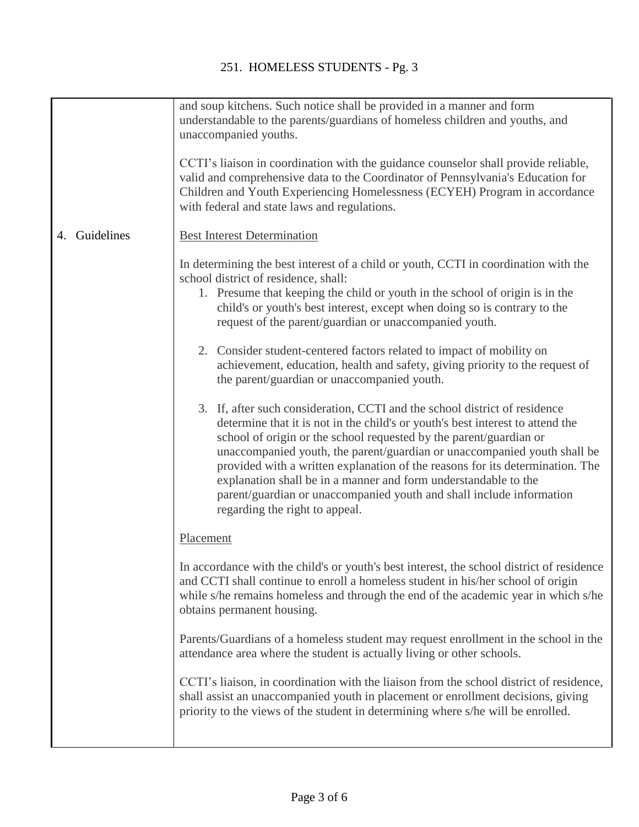|                  | and soup kitchens. Such notice shall be provided in a manner and form<br>understandable to the parents/guardians of homeless children and youths, and<br>unaccompanied youths.<br>CCTI's liaison in coordination with the guidance counselor shall provide reliable,<br>valid and comprehensive data to the Coordinator of Pennsylvania's Education for<br>Children and Youth Experiencing Homelessness (ECYEH) Program in accordance<br>with federal and state laws and regulations.                                                                                        |
|------------------|------------------------------------------------------------------------------------------------------------------------------------------------------------------------------------------------------------------------------------------------------------------------------------------------------------------------------------------------------------------------------------------------------------------------------------------------------------------------------------------------------------------------------------------------------------------------------|
| Guidelines<br>4. | <b>Best Interest Determination</b>                                                                                                                                                                                                                                                                                                                                                                                                                                                                                                                                           |
|                  | In determining the best interest of a child or youth, CCTI in coordination with the<br>school district of residence, shall:<br>1. Presume that keeping the child or youth in the school of origin is in the<br>child's or youth's best interest, except when doing so is contrary to the<br>request of the parent/guardian or unaccompanied youth.                                                                                                                                                                                                                           |
|                  | 2. Consider student-centered factors related to impact of mobility on<br>achievement, education, health and safety, giving priority to the request of<br>the parent/guardian or unaccompanied youth.                                                                                                                                                                                                                                                                                                                                                                         |
|                  | 3. If, after such consideration, CCTI and the school district of residence<br>determine that it is not in the child's or youth's best interest to attend the<br>school of origin or the school requested by the parent/guardian or<br>unaccompanied youth, the parent/guardian or unaccompanied youth shall be<br>provided with a written explanation of the reasons for its determination. The<br>explanation shall be in a manner and form understandable to the<br>parent/guardian or unaccompanied youth and shall include information<br>regarding the right to appeal. |
|                  | Placement                                                                                                                                                                                                                                                                                                                                                                                                                                                                                                                                                                    |
|                  | In accordance with the child's or youth's best interest, the school district of residence<br>and CCTI shall continue to enroll a homeless student in his/her school of origin<br>while s/he remains homeless and through the end of the academic year in which s/he<br>obtains permanent housing.                                                                                                                                                                                                                                                                            |
|                  | Parents/Guardians of a homeless student may request enrollment in the school in the<br>attendance area where the student is actually living or other schools.                                                                                                                                                                                                                                                                                                                                                                                                                |
|                  | CCTI's liaison, in coordination with the liaison from the school district of residence,<br>shall assist an unaccompanied youth in placement or enrollment decisions, giving<br>priority to the views of the student in determining where s/he will be enrolled.                                                                                                                                                                                                                                                                                                              |
|                  |                                                                                                                                                                                                                                                                                                                                                                                                                                                                                                                                                                              |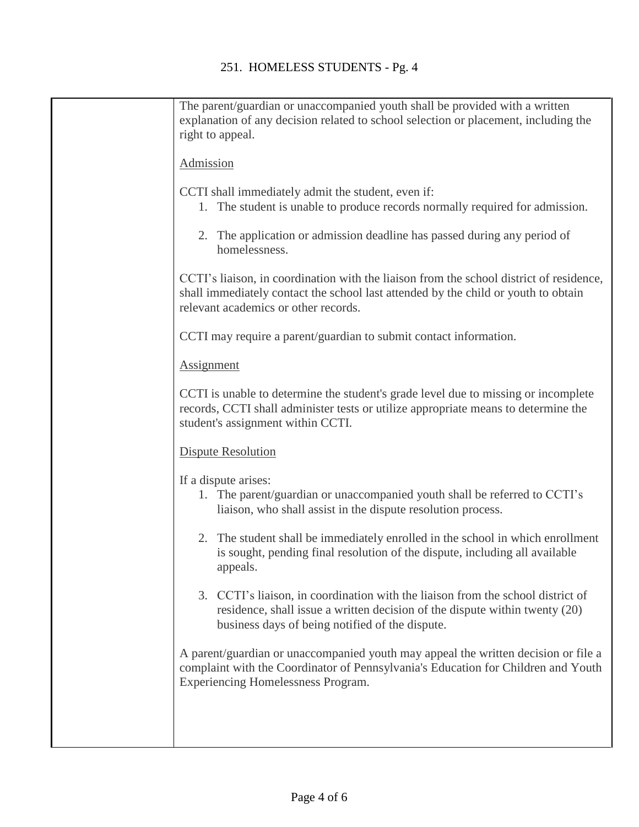| The parent/guardian or unaccompanied youth shall be provided with a written<br>explanation of any decision related to school selection or placement, including the<br>right to appeal.                                |
|-----------------------------------------------------------------------------------------------------------------------------------------------------------------------------------------------------------------------|
| Admission                                                                                                                                                                                                             |
| CCTI shall immediately admit the student, even if:<br>The student is unable to produce records normally required for admission.<br>1.                                                                                 |
| 2. The application or admission deadline has passed during any period of<br>homelessness.                                                                                                                             |
| CCTI's liaison, in coordination with the liaison from the school district of residence,<br>shall immediately contact the school last attended by the child or youth to obtain<br>relevant academics or other records. |
| CCTI may require a parent/guardian to submit contact information.                                                                                                                                                     |
| <b>Assignment</b>                                                                                                                                                                                                     |
| CCTI is unable to determine the student's grade level due to missing or incomplete<br>records, CCTI shall administer tests or utilize appropriate means to determine the<br>student's assignment within CCTI.         |
| <b>Dispute Resolution</b>                                                                                                                                                                                             |
| If a dispute arises:<br>1. The parent/guardian or unaccompanied youth shall be referred to CCTI's<br>liaison, who shall assist in the dispute resolution process.                                                     |
| 2. The student shall be immediately enrolled in the school in which enrollment<br>is sought, pending final resolution of the dispute, including all available<br>appeals.                                             |
| 3. CCTI's liaison, in coordination with the liaison from the school district of<br>residence, shall issue a written decision of the dispute within twenty (20)<br>business days of being notified of the dispute.     |
| A parent/guardian or unaccompanied youth may appeal the written decision or file a<br>complaint with the Coordinator of Pennsylvania's Education for Children and Youth<br><b>Experiencing Homelessness Program.</b>  |
|                                                                                                                                                                                                                       |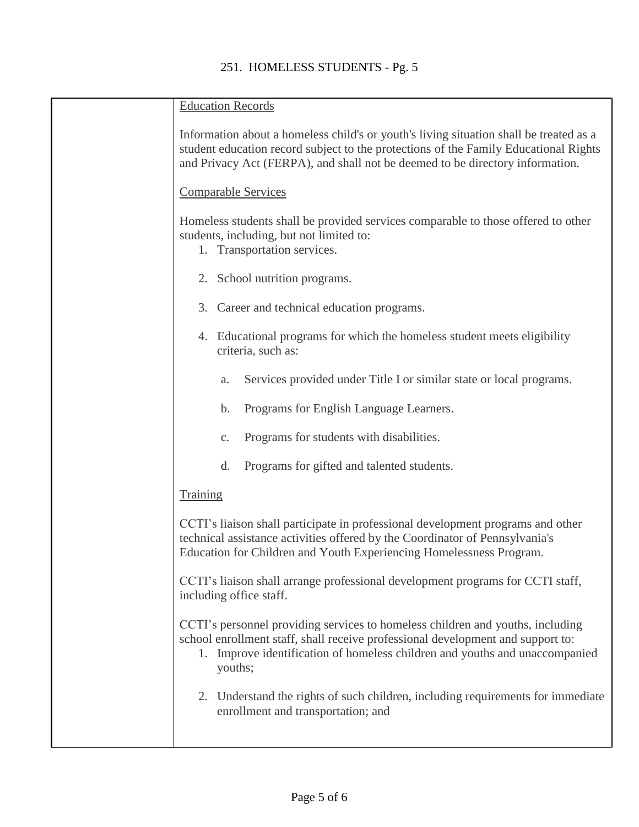| <b>Education Records</b>                                                                                                                                                                                                                                        |
|-----------------------------------------------------------------------------------------------------------------------------------------------------------------------------------------------------------------------------------------------------------------|
| Information about a homeless child's or youth's living situation shall be treated as a<br>student education record subject to the protections of the Family Educational Rights<br>and Privacy Act (FERPA), and shall not be deemed to be directory information. |
| <b>Comparable Services</b>                                                                                                                                                                                                                                      |
| Homeless students shall be provided services comparable to those offered to other<br>students, including, but not limited to:<br>1. Transportation services.                                                                                                    |
| 2. School nutrition programs.                                                                                                                                                                                                                                   |
| 3. Career and technical education programs.                                                                                                                                                                                                                     |
| 4. Educational programs for which the homeless student meets eligibility<br>criteria, such as:                                                                                                                                                                  |
| Services provided under Title I or similar state or local programs.<br>a.                                                                                                                                                                                       |
| Programs for English Language Learners.<br>b.                                                                                                                                                                                                                   |
| Programs for students with disabilities.<br>$C_{\bullet}$                                                                                                                                                                                                       |
| Programs for gifted and talented students.<br>d.                                                                                                                                                                                                                |
| <b>Training</b>                                                                                                                                                                                                                                                 |
| CCTI's liaison shall participate in professional development programs and other<br>technical assistance activities offered by the Coordinator of Pennsylvania's<br>Education for Children and Youth Experiencing Homelessness Program.                          |
| CCTI's liaison shall arrange professional development programs for CCTI staff,<br>including office staff.                                                                                                                                                       |
| CCTI's personnel providing services to homeless children and youths, including<br>school enrollment staff, shall receive professional development and support to:<br>1. Improve identification of homeless children and youths and unaccompanied<br>youths;     |
| 2. Understand the rights of such children, including requirements for immediate<br>enrollment and transportation; and                                                                                                                                           |
|                                                                                                                                                                                                                                                                 |